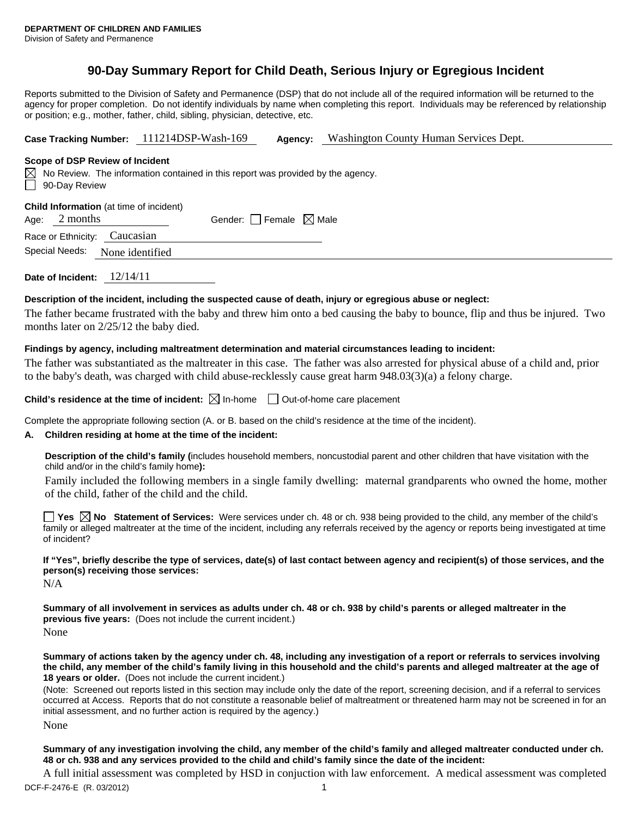# **90-Day Summary Report for Child Death, Serious Injury or Egregious Incident**

Reports submitted to the Division of Safety and Permanence (DSP) that do not include all of the required information will be returned to the agency for proper completion. Do not identify individuals by name when completing this report. Individuals may be referenced by relationship or position; e.g., mother, father, child, sibling, physician, detective, etc.

**Case Tracking Number:** 111214DSP-Wash-169 **Agency:** Washington County Human Services Dept.

### **Scope of DSP Review of Incident**

|                      | $\boxtimes$ No Review. The information contained in this report was provided by the agency. |
|----------------------|---------------------------------------------------------------------------------------------|
| $\Box$ 90-Day Review |                                                                                             |

**Child Information** (at time of incident)

| Gender: Female $\boxtimes$ Male<br>Age: $2$ months |
|----------------------------------------------------|
|----------------------------------------------------|

| Race or Ethnicity: | Caucasian |
|--------------------|-----------|
|                    |           |

Special Needs: None identified

**Date of Incident:** 12/14/11

### **Description of the incident, including the suspected cause of death, injury or egregious abuse or neglect:**

The father became frustrated with the baby and threw him onto a bed causing the baby to bounce, flip and thus be injured. Two months later on 2/25/12 the baby died.

# **Findings by agency, including maltreatment determination and material circumstances leading to incident:**

The father was substantiated as the maltreater in this case. The father was also arrested for physical abuse of a child and, prior to the baby's death, was charged with child abuse-recklessly cause great harm 948.03(3)(a) a felony charge.

**Child's residence at the time of incident:**  $\boxtimes$  In-home  $\Box$  Out-of-home care placement

Complete the appropriate following section (A. or B. based on the child's residence at the time of the incident).

# **A. Children residing at home at the time of the incident:**

**Description of the child's family (**includes household members, noncustodial parent and other children that have visitation with the child and/or in the child's family home**):** 

Family included the following members in a single family dwelling: maternal grandparents who owned the home, mother of the child, father of the child and the child.

**Yes**  $\boxtimes$  **No** Statement of Services: Were services under ch. 48 or ch. 938 being provided to the child, any member of the child's family or alleged maltreater at the time of the incident, including any referrals received by the agency or reports being investigated at time of incident?

**If "Yes", briefly describe the type of services, date(s) of last contact between agency and recipient(s) of those services, and the person(s) receiving those services:** 

N/A

**Summary of all involvement in services as adults under ch. 48 or ch. 938 by child's parents or alleged maltreater in the previous five years:** (Does not include the current incident.) None

**Summary of actions taken by the agency under ch. 48, including any investigation of a report or referrals to services involving the child, any member of the child's family living in this household and the child's parents and alleged maltreater at the age of 18 years or older.** (Does not include the current incident.)

(Note: Screened out reports listed in this section may include only the date of the report, screening decision, and if a referral to services occurred at Access. Reports that do not constitute a reasonable belief of maltreatment or threatened harm may not be screened in for an initial assessment, and no further action is required by the agency.)

None

**Summary of any investigation involving the child, any member of the child's family and alleged maltreater conducted under ch. 48 or ch. 938 and any services provided to the child and child's family since the date of the incident:** 

A full initial assessment was completed by HSD in conjuction with law enforcement. A medical assessment was completed